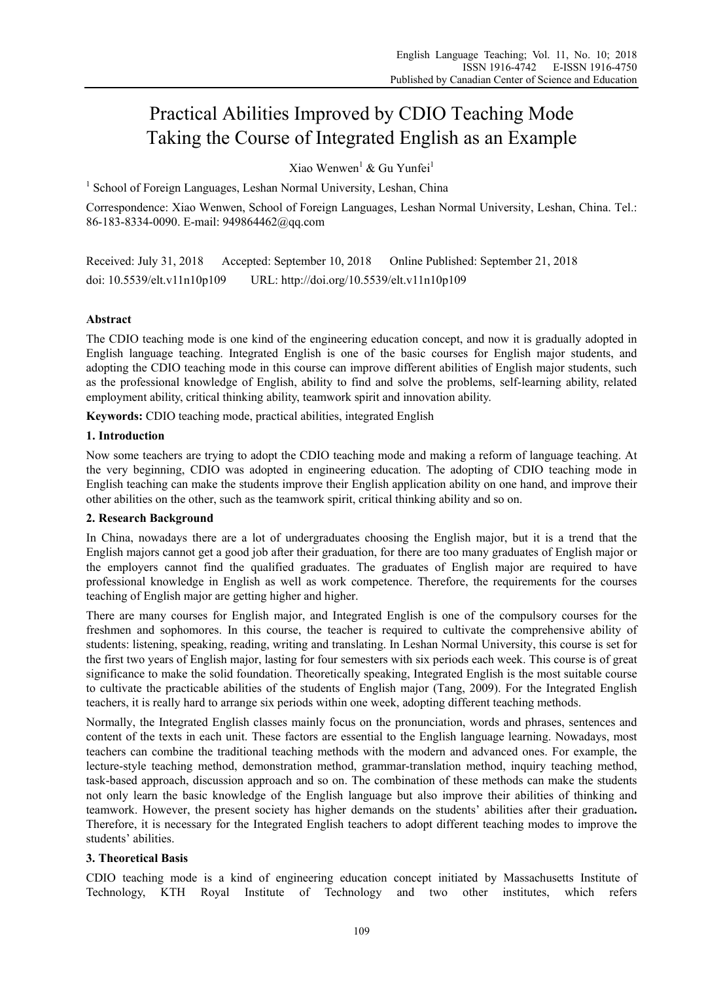# Practical Abilities Improved by CDIO Teaching Mode Taking the Course of Integrated English as an Example

Xiao Wenwen $^1$  & Gu Yunfei $^1$ 

<sup>1</sup> School of Foreign Languages, Leshan Normal University, Leshan, China

Correspondence: Xiao Wenwen, School of Foreign Languages, Leshan Normal University, Leshan, China. Tel.: 86-183-8334-0090. E-mail: 949864462@qq.com

Received: July 31, 2018 Accepted: September 10, 2018 Online Published: September 21, 2018 doi: 10.5539/elt.v11n10p109 URL: http://doi.org/10.5539/elt.v11n10p109

# **Abstract**

The CDIO teaching mode is one kind of the engineering education concept, and now it is gradually adopted in English language teaching. Integrated English is one of the basic courses for English major students, and adopting the CDIO teaching mode in this course can improve different abilities of English major students, such as the professional knowledge of English, ability to find and solve the problems, self-learning ability, related employment ability, critical thinking ability, teamwork spirit and innovation ability.

**Keywords:** CDIO teaching mode, practical abilities, integrated English

## **1. Introduction**

Now some teachers are trying to adopt the CDIO teaching mode and making a reform of language teaching. At the very beginning, CDIO was adopted in engineering education. The adopting of CDIO teaching mode in English teaching can make the students improve their English application ability on one hand, and improve their other abilities on the other, such as the teamwork spirit, critical thinking ability and so on.

# **2. Research Background**

In China, nowadays there are a lot of undergraduates choosing the English major, but it is a trend that the English majors cannot get a good job after their graduation, for there are too many graduates of English major or the employers cannot find the qualified graduates. The graduates of English major are required to have professional knowledge in English as well as work competence. Therefore, the requirements for the courses teaching of English major are getting higher and higher.

There are many courses for English major, and Integrated English is one of the compulsory courses for the freshmen and sophomores. In this course, the teacher is required to cultivate the comprehensive ability of students: listening, speaking, reading, writing and translating. In Leshan Normal University, this course is set for the first two years of English major, lasting for four semesters with six periods each week. This course is of great significance to make the solid foundation. Theoretically speaking, Integrated English is the most suitable course to cultivate the practicable abilities of the students of English major (Tang, 2009). For the Integrated English teachers, it is really hard to arrange six periods within one week, adopting different teaching methods.

Normally, the Integrated English classes mainly focus on the pronunciation, words and phrases, sentences and content of the texts in each unit. These factors are essential to the English language learning. Nowadays, most teachers can combine the traditional teaching methods with the modern and advanced ones. For example, the lecture-style teaching method, demonstration method, grammar-translation method, inquiry teaching method, task-based approach, discussion approach and so on. The combination of these methods can make the students not only learn the basic knowledge of the English language but also improve their abilities of thinking and teamwork. However, the present society has higher demands on the students' abilities after their graduation**.**  Therefore, it is necessary for the Integrated English teachers to adopt different teaching modes to improve the students' abilities.

# **3. Theoretical Basis**

CDIO teaching mode is a kind of engineering education concept initiated by Massachusetts Institute of Technology, KTH Royal Institute of Technology and two other institutes, which refers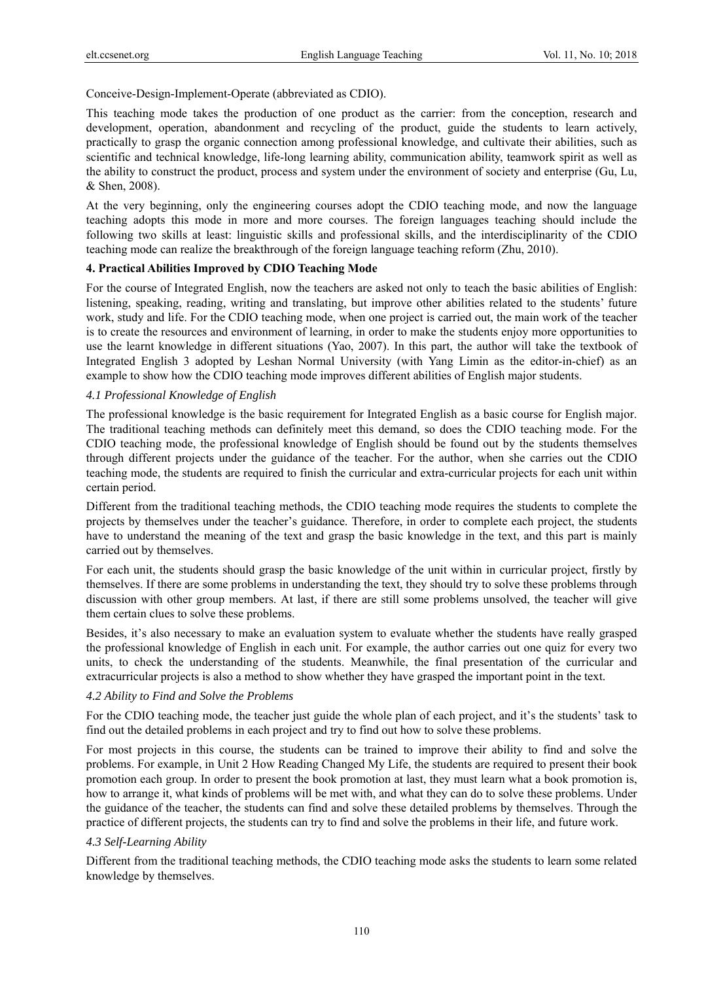Conceive-Design-Implement-Operate (abbreviated as CDIO).

This teaching mode takes the production of one product as the carrier: from the conception, research and development, operation, abandonment and recycling of the product, guide the students to learn actively, practically to grasp the organic connection among professional knowledge, and cultivate their abilities, such as scientific and technical knowledge, life-long learning ability, communication ability, teamwork spirit as well as the ability to construct the product, process and system under the environment of society and enterprise (Gu, Lu, & Shen, 2008).

At the very beginning, only the engineering courses adopt the CDIO teaching mode, and now the language teaching adopts this mode in more and more courses. The foreign languages teaching should include the following two skills at least: linguistic skills and professional skills, and the interdisciplinarity of the CDIO teaching mode can realize the breakthrough of the foreign language teaching reform (Zhu, 2010).

# **4. Practical Abilities Improved by CDIO Teaching Mode**

For the course of Integrated English, now the teachers are asked not only to teach the basic abilities of English: listening, speaking, reading, writing and translating, but improve other abilities related to the students' future work, study and life. For the CDIO teaching mode, when one project is carried out, the main work of the teacher is to create the resources and environment of learning, in order to make the students enjoy more opportunities to use the learnt knowledge in different situations (Yao, 2007). In this part, the author will take the textbook of Integrated English 3 adopted by Leshan Normal University (with Yang Limin as the editor-in-chief) as an example to show how the CDIO teaching mode improves different abilities of English major students.

## *4.1 Professional Knowledge of English*

The professional knowledge is the basic requirement for Integrated English as a basic course for English major. The traditional teaching methods can definitely meet this demand, so does the CDIO teaching mode. For the CDIO teaching mode, the professional knowledge of English should be found out by the students themselves through different projects under the guidance of the teacher. For the author, when she carries out the CDIO teaching mode, the students are required to finish the curricular and extra-curricular projects for each unit within certain period.

Different from the traditional teaching methods, the CDIO teaching mode requires the students to complete the projects by themselves under the teacher's guidance. Therefore, in order to complete each project, the students have to understand the meaning of the text and grasp the basic knowledge in the text, and this part is mainly carried out by themselves.

For each unit, the students should grasp the basic knowledge of the unit within in curricular project, firstly by themselves. If there are some problems in understanding the text, they should try to solve these problems through discussion with other group members. At last, if there are still some problems unsolved, the teacher will give them certain clues to solve these problems.

Besides, it's also necessary to make an evaluation system to evaluate whether the students have really grasped the professional knowledge of English in each unit. For example, the author carries out one quiz for every two units, to check the understanding of the students. Meanwhile, the final presentation of the curricular and extracurricular projects is also a method to show whether they have grasped the important point in the text.

## *4.2 Ability to Find and Solve the Problems*

For the CDIO teaching mode, the teacher just guide the whole plan of each project, and it's the students' task to find out the detailed problems in each project and try to find out how to solve these problems.

For most projects in this course, the students can be trained to improve their ability to find and solve the problems. For example, in Unit 2 How Reading Changed My Life, the students are required to present their book promotion each group. In order to present the book promotion at last, they must learn what a book promotion is, how to arrange it, what kinds of problems will be met with, and what they can do to solve these problems. Under the guidance of the teacher, the students can find and solve these detailed problems by themselves. Through the practice of different projects, the students can try to find and solve the problems in their life, and future work.

# *4.3 Self-Learning Ability*

Different from the traditional teaching methods, the CDIO teaching mode asks the students to learn some related knowledge by themselves.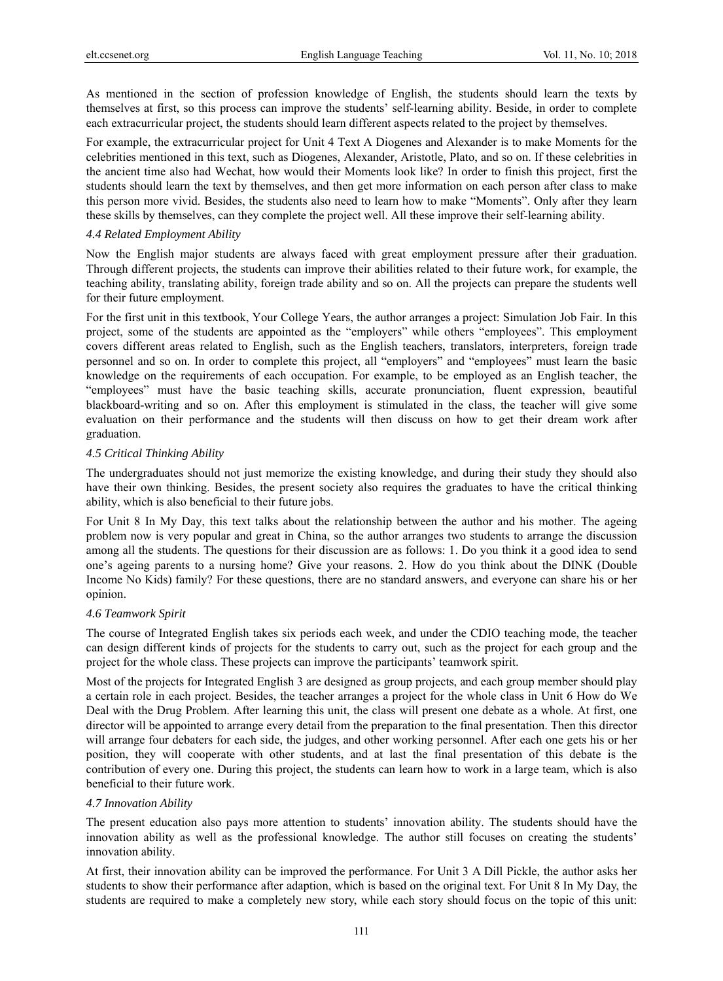As mentioned in the section of profession knowledge of English, the students should learn the texts by themselves at first, so this process can improve the students' self-learning ability. Beside, in order to complete each extracurricular project, the students should learn different aspects related to the project by themselves.

For example, the extracurricular project for Unit 4 Text A Diogenes and Alexander is to make Moments for the celebrities mentioned in this text, such as Diogenes, Alexander, Aristotle, Plato, and so on. If these celebrities in the ancient time also had Wechat, how would their Moments look like? In order to finish this project, first the students should learn the text by themselves, and then get more information on each person after class to make this person more vivid. Besides, the students also need to learn how to make "Moments". Only after they learn these skills by themselves, can they complete the project well. All these improve their self-learning ability.

#### *4.4 Related Employment Ability*

Now the English major students are always faced with great employment pressure after their graduation. Through different projects, the students can improve their abilities related to their future work, for example, the teaching ability, translating ability, foreign trade ability and so on. All the projects can prepare the students well for their future employment.

For the first unit in this textbook, Your College Years, the author arranges a project: Simulation Job Fair. In this project, some of the students are appointed as the "employers" while others "employees". This employment covers different areas related to English, such as the English teachers, translators, interpreters, foreign trade personnel and so on. In order to complete this project, all "employers" and "employees" must learn the basic knowledge on the requirements of each occupation. For example, to be employed as an English teacher, the "employees" must have the basic teaching skills, accurate pronunciation, fluent expression, beautiful blackboard-writing and so on. After this employment is stimulated in the class, the teacher will give some evaluation on their performance and the students will then discuss on how to get their dream work after graduation.

#### *4.5 Critical Thinking Ability*

The undergraduates should not just memorize the existing knowledge, and during their study they should also have their own thinking. Besides, the present society also requires the graduates to have the critical thinking ability, which is also beneficial to their future jobs.

For Unit 8 In My Day, this text talks about the relationship between the author and his mother. The ageing problem now is very popular and great in China, so the author arranges two students to arrange the discussion among all the students. The questions for their discussion are as follows: 1. Do you think it a good idea to send one's ageing parents to a nursing home? Give your reasons. 2. How do you think about the DINK (Double Income No Kids) family? For these questions, there are no standard answers, and everyone can share his or her opinion.

## *4.6 Teamwork Spirit*

The course of Integrated English takes six periods each week, and under the CDIO teaching mode, the teacher can design different kinds of projects for the students to carry out, such as the project for each group and the project for the whole class. These projects can improve the participants' teamwork spirit.

Most of the projects for Integrated English 3 are designed as group projects, and each group member should play a certain role in each project. Besides, the teacher arranges a project for the whole class in Unit 6 How do We Deal with the Drug Problem. After learning this unit, the class will present one debate as a whole. At first, one director will be appointed to arrange every detail from the preparation to the final presentation. Then this director will arrange four debaters for each side, the judges, and other working personnel. After each one gets his or her position, they will cooperate with other students, and at last the final presentation of this debate is the contribution of every one. During this project, the students can learn how to work in a large team, which is also beneficial to their future work.

## *4.7 Innovation Ability*

The present education also pays more attention to students' innovation ability. The students should have the innovation ability as well as the professional knowledge. The author still focuses on creating the students' innovation ability.

At first, their innovation ability can be improved the performance. For Unit 3 A Dill Pickle, the author asks her students to show their performance after adaption, which is based on the original text. For Unit 8 In My Day, the students are required to make a completely new story, while each story should focus on the topic of this unit: